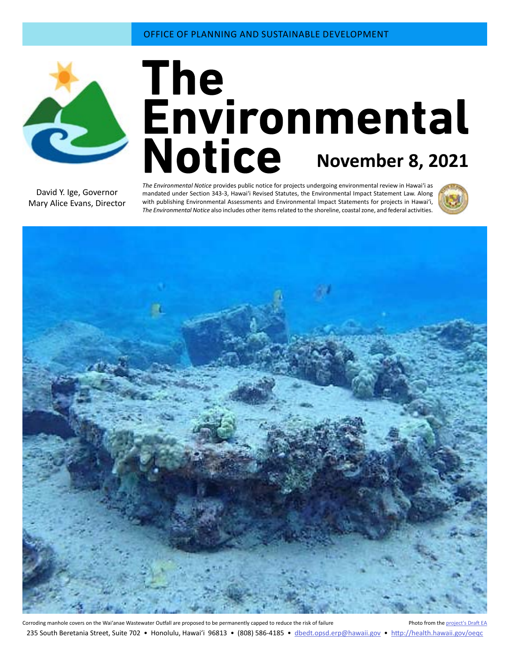

# **November 8, 2021**

David Y. Ige, Governor Mary Alice Evans, Director

*The Environmental Notice* provides public notice for projects undergoing environmental review in Hawaiʻi as mandated under Section 343-3, Hawaiʻi Revised Statutes, the Environmental Impact Statement Law. Along with publishing Environmental Assessments and Environmental Impact Statements for projects in Hawai'i, *The Environmental Notice* also includes other items related to the shoreline, coastal zone, and federal activities.





Corroding manhole covers on the Wai'anae Wastewater Outfall are proposed to be permanently capped to reduce the risk of failure Photo from the [project's Draft EA](#page-4-0) 235 South Beretania Street, Suite 702 • Honolulu, Hawai'i 96813 • (808) 586-4185 • dbedt.opsd.erp[@hawaii.gov](mailto:dbedt.opsd.erp%40hawaii.gov?subject=) • <http://health.hawaii.gov/oeqc>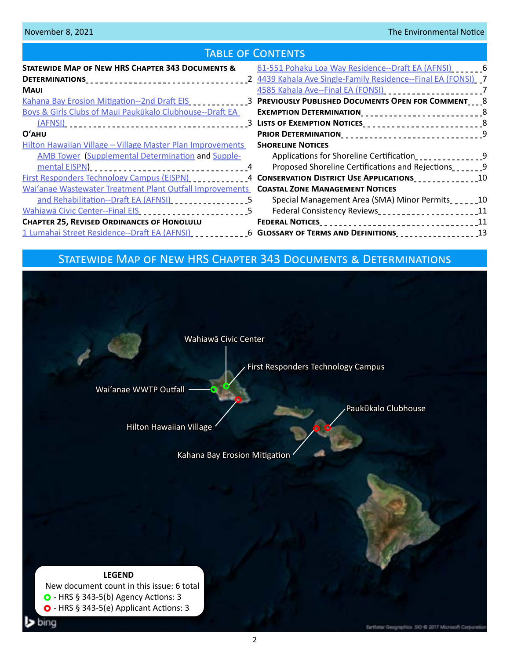| <b>TABLE OF CONTENTS</b>                                                                                              |  |                                                                                       |  |  |  |
|-----------------------------------------------------------------------------------------------------------------------|--|---------------------------------------------------------------------------------------|--|--|--|
| STATEWIDE MAP OF NEW HRS CHAPTER 343 DOCUMENTS &                                                                      |  | 61-551 Pohaku Loa Way Residence--Draft EA (AFNSI) [100]                               |  |  |  |
|                                                                                                                       |  |                                                                                       |  |  |  |
| <b>MAUI</b>                                                                                                           |  | 4585 Kahala Ave--Final EA (FONSI) ________________________7                           |  |  |  |
| Kahana Bay Erosion Mitigation--2nd Draft EIS [10] 2010 2022 PREVIOUSLY PUBLISHED DOCUMENTS OPEN FOR COMMENT [10] 8    |  |                                                                                       |  |  |  |
| Boys & Girls Clubs of Maui Paukūkalo Clubhouse--Draft EA                                                              |  |                                                                                       |  |  |  |
|                                                                                                                       |  |                                                                                       |  |  |  |
| $O'$ AHU                                                                                                              |  | PRIOR DETERMINATION__________________________________9                                |  |  |  |
| Hilton Hawaiian Village - Village Master Plan Improvements                                                            |  | <b>SHORELINE NOTICES</b>                                                              |  |  |  |
| <b>AMB Tower (Supplemental Determination and Supple-</b>                                                              |  | Applications for Shoreline Certification_________________9                            |  |  |  |
|                                                                                                                       |  | Proposed Shoreline Certifications and Rejections                                      |  |  |  |
| First Responders Technology Campus (EISPN) ____________4 CONSERVATION DISTRICT USE APPLICATIONS______________10       |  |                                                                                       |  |  |  |
| Wai'anae Wastewater Treatment Plant Outfall Improvements COASTAL ZONE MANAGEMENT NOTICES                              |  |                                                                                       |  |  |  |
| and Rehabilitation--Draft EA (AFNSI)                                                                                  |  | Special Management Area (SMA) Minor Permits______10                                   |  |  |  |
| Wahiawā Civic Center--Final EIS [10] [10] Mahiawā Civic Center--Final EIS [10] [10] [10] Mahiawa 25                   |  | Federal Consistency Reviews<br>2011 - 2022 - 2022 - 2023 - 2024<br>2022 - 2023 - 2024 |  |  |  |
| <b>CHAPTER 25, REVISED ORDINANCES OF HONOLULU</b>                                                                     |  |                                                                                       |  |  |  |
| 13 Lumahai Street Residence--Draft EA (AFNSI) ______________6 GLOSSARY OF TERMS AND DEFINITIONS ___________________13 |  |                                                                                       |  |  |  |

# Statewide Map of New HRS Chapter 343 Documents & Determinations

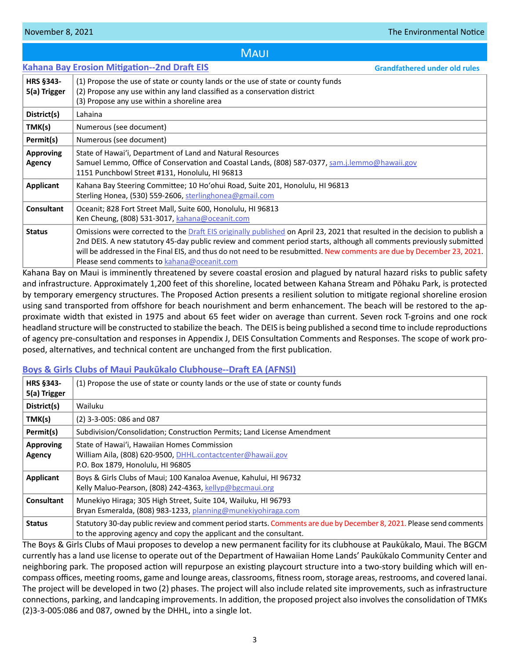# **MAUI**

<span id="page-2-0"></span>

|                                   | <b>Kahana Bay Erosion Mitigation--2nd Draft EIS</b>                                                                                                                                                                                                                                                                                                                                                                                                              | <b>Grandfathered under old rules</b>                |
|-----------------------------------|------------------------------------------------------------------------------------------------------------------------------------------------------------------------------------------------------------------------------------------------------------------------------------------------------------------------------------------------------------------------------------------------------------------------------------------------------------------|-----------------------------------------------------|
| <b>HRS §343-</b><br>5(a) Trigger  | (1) Propose the use of state or county lands or the use of state or county funds<br>(2) Propose any use within any land classified as a conservation district<br>(3) Propose any use within a shoreline area                                                                                                                                                                                                                                                     |                                                     |
| District(s)                       | Lahaina                                                                                                                                                                                                                                                                                                                                                                                                                                                          |                                                     |
| TMK(s)                            | Numerous (see document)                                                                                                                                                                                                                                                                                                                                                                                                                                          |                                                     |
| Permit(s)                         | Numerous (see document)                                                                                                                                                                                                                                                                                                                                                                                                                                          |                                                     |
| <b>Approving</b><br><b>Agency</b> | State of Hawai'i, Department of Land and Natural Resources<br>Samuel Lemmo, Office of Conservation and Coastal Lands, (808) 587-0377, sam.j.lemmo@hawaii.gov<br>1151 Punchbowl Street #131, Honolulu, HI 96813                                                                                                                                                                                                                                                   |                                                     |
| <b>Applicant</b>                  | Kahana Bay Steering Committee; 10 Ho'ohui Road, Suite 201, Honolulu, HI 96813<br>Sterling Honea, (530) 559-2606, sterlinghonea@gmail.com                                                                                                                                                                                                                                                                                                                         |                                                     |
| <b>Consultant</b>                 | Oceanit; 828 Fort Street Mall, Suite 600, Honolulu, HI 96813<br>Ken Cheung, (808) 531-3017, kahana@oceanit.com                                                                                                                                                                                                                                                                                                                                                   |                                                     |
| <b>Status</b>                     | Omissions were corrected to the Draft EIS originally published on April 23, 2021 that resulted in the decision to publish a<br>2nd DEIS. A new statutory 45-day public review and comment period starts, although all comments previously submitted<br>will be addressed in the Final EIS, and thus do not need to be resubmitted. New comments are due by December 23, 2021.<br>Please send comments to kahana@oceanit.com<br><b>Contract Contract Contract</b> | $\sim$ $\sim$ $\sim$ $\sim$ $\sim$ $\sim$<br>.<br>. |

Kahana Bay on Maui is imminently threatened by severe coastal erosion and plagued by natural hazard risks to public safety and infrastructure. Approximately 1,200 feet of this shoreline, located between Kahana Stream and Pōhaku Park, is protected by temporary emergency structures. The Proposed Action presents a resilient solution to mitigate regional shoreline erosion using sand transported from offshore for beach nourishment and berm enhancement. The beach will be restored to the approximate width that existed in 1975 and about 65 feet wider on average than current. Seven rock T-groins and one rock headland structure will be constructed to stabilize the beach. The DEIS is being published a second time to include reproductions of agency pre-consultation and responses in Appendix J, DEIS Consultation Comments and Responses. The scope of work proposed, alternatives, and technical content are unchanged from the first publication.

# **[Boys & Girls Clubs of Maui Paukūkalo Clubhouse--Draft EA \(AFNSI\)](http://oeqc2.doh.hawaii.gov/Doc_Library/2021-11-08-MA-DEA-Boys-and-Girls-Clubs-of-Maui-Paukukalo-Clubhouse.pdf)**

| <b>HRS §343-</b><br>5(a) Trigger | (1) Propose the use of state or county lands or the use of state or county funds                                                                                                           |
|----------------------------------|--------------------------------------------------------------------------------------------------------------------------------------------------------------------------------------------|
| District(s)                      | Wailuku                                                                                                                                                                                    |
| TMK(s)                           | (2) 3-3-005: 086 and 087                                                                                                                                                                   |
| Permit(s)                        | Subdivision/Consolidation; Construction Permits; Land License Amendment                                                                                                                    |
| <b>Approving</b><br>Agency       | State of Hawai'i, Hawaiian Homes Commission<br>William Aila, (808) 620-9500, DHHL.contactcenter@hawaii.gov<br>P.O. Box 1879, Honolulu, HI 96805                                            |
| Applicant                        | Boys & Girls Clubs of Maui; 100 Kanaloa Avenue, Kahului, HI 96732<br>Kelly Maluo-Pearson, (808) 242-4363, kellyp@bgcmaui.org                                                               |
| Consultant                       | Munekiyo Hiraga; 305 High Street, Suite 104, Wailuku, HI 96793<br>Bryan Esmeralda, (808) 983-1233, planning@munekiyohiraga.com                                                             |
| <b>Status</b>                    | Statutory 30-day public review and comment period starts. Comments are due by December 8, 2021. Please send comments<br>to the approving agency and copy the applicant and the consultant. |

The Boys & Girls Clubs of Maui proposes to develop a new permanent facility for its clubhouse at Paukūkalo, Maui. The BGCM currently has a land use license to operate out of the Department of Hawaiian Home Lands' Paukūkalo Community Center and neighboring park. The proposed action will repurpose an existing playcourt structure into a two-story building which will encompass offices, meeting rooms, game and lounge areas, classrooms, fitness room, storage areas, restrooms, and covered lanai. The project will be developed in two (2) phases. The project will also include related site improvements, such as infrastructure connections, parking, and landcaping improvements. In addition, the proposed project also involves the consolidation of TMKs (2)3-3-005:086 and 087, owned by the DHHL, into a single lot.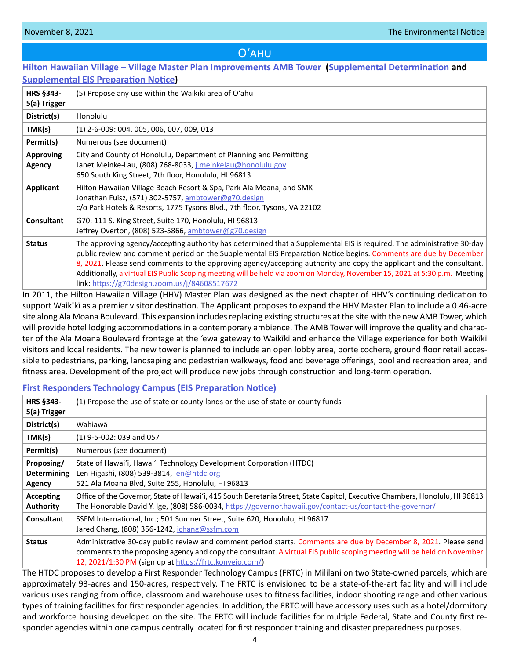# Oʻahu

# <span id="page-3-0"></span>**[Hilton Hawaiian Village – Village Master Plan Improvements AMB Tower](http://oeqc2.doh.hawaii.gov/Doc_Library/2021-11-08-OA-Supplemental-EISPN-Hilton-Hawaiian-Village-Master-Plan-Improvements-AMB-Tower.pdf) ([Supplemental Determination](http://oeqc2.doh.hawaii.gov/Doc_Library/2021-11-08-OA-Supplemental-Determination-Hilton-Hawaiian-Village-Master-Plan-Improvements-AMB-Tower.pdf) and [Supplemental EIS Preparation N](http://oeqc2.doh.hawaii.gov/Doc_Library/2021-11-08-OA-Supplemental-EISPN-Hilton-Hawaiian-Village-Master-Plan-Improvements-AMB-Tower.pdf)otice)**

| <b>Supplemental Eis Freparation Notice</b> |                                                                                                                                                                                                                                                                                                                                                                                                                                                                                                                                                   |  |  |
|--------------------------------------------|---------------------------------------------------------------------------------------------------------------------------------------------------------------------------------------------------------------------------------------------------------------------------------------------------------------------------------------------------------------------------------------------------------------------------------------------------------------------------------------------------------------------------------------------------|--|--|
| HRS §343-<br>5(a) Trigger                  | (5) Propose any use within the Waikiki area of O'ahu                                                                                                                                                                                                                                                                                                                                                                                                                                                                                              |  |  |
| District(s)                                | Honolulu                                                                                                                                                                                                                                                                                                                                                                                                                                                                                                                                          |  |  |
| TMK(s)                                     | $(1)$ 2-6-009: 004, 005, 006, 007, 009, 013                                                                                                                                                                                                                                                                                                                                                                                                                                                                                                       |  |  |
| Permit(s)                                  | Numerous (see document)                                                                                                                                                                                                                                                                                                                                                                                                                                                                                                                           |  |  |
| <b>Approving</b><br><b>Agency</b>          | City and County of Honolulu, Department of Planning and Permitting<br>Janet Meinke-Lau, (808) 768-8033, <i>j.meinkelau@honolulu.gov</i><br>650 South King Street, 7th floor, Honolulu, HI 96813                                                                                                                                                                                                                                                                                                                                                   |  |  |
| Applicant                                  | Hilton Hawaiian Village Beach Resort & Spa, Park Ala Moana, and SMK<br>Jonathan Fuisz, (571) 302-5757, ambtower@g70.design<br>c/o Park Hotels & Resorts, 1775 Tysons Blvd., 7th floor, Tysons, VA 22102                                                                                                                                                                                                                                                                                                                                           |  |  |
| <b>Consultant</b>                          | G70; 111 S. King Street, Suite 170, Honolulu, HI 96813<br>Jeffrey Overton, (808) 523-5866, ambtower@g70.design                                                                                                                                                                                                                                                                                                                                                                                                                                    |  |  |
| <b>Status</b>                              | The approving agency/accepting authority has determined that a Supplemental EIS is required. The administrative 30-day<br>public review and comment period on the Supplemental EIS Preparation Notice begins. Comments are due by December<br>8, 2021. Please send comments to the approving agency/accepting authority and copy the applicant and the consultant.<br>Additionally, a virtual EIS Public Scoping meeting will be held via zoom on Monday, November 15, 2021 at 5:30 p.m. Meeting<br>link: https://g70design.zoom.us/j/84608517672 |  |  |

In 2011, the Hilton Hawaiian Village (HHV) Master Plan was designed as the next chapter of HHV's continuing dedication to support Waikīkī as a premier visitor destination. The Applicant proposes to expand the HHV Master Plan to include a 0.46-acre site along Ala Moana Boulevard. This expansion includes replacing existing structures at the site with the new AMB Tower, which will provide hotel lodging accommodations in a contemporary ambience. The AMB Tower will improve the quality and character of the Ala Moana Boulevard frontage at the 'ewa gateway to Waikīkī and enhance the Village experience for both Waikīkī visitors and local residents. The new tower is planned to include an open lobby area, porte cochere, ground floor retail accessible to pedestrians, parking, landsaping and pedestrian walkways, food and beverage offerings, pool and recreation area, and fitness area. Development of the project will produce new jobs through construction and long-term operation.

### **[First Responders Technology Campus \(EIS Preparation Notice\)](http://oeqc2.doh.hawaii.gov/Doc_Library/2021-11-08-OA-EISPN-First-Responders-Technology-Campus.pdf)**

| <b>HRS §343-</b><br>5(a) Trigger           | (1) Propose the use of state or county lands or the use of state or county funds                                                                                                                                                                                                                       |
|--------------------------------------------|--------------------------------------------------------------------------------------------------------------------------------------------------------------------------------------------------------------------------------------------------------------------------------------------------------|
| District(s)                                | Wahiawā                                                                                                                                                                                                                                                                                                |
| TMK(s)                                     | $(1)$ 9-5-002: 039 and 057                                                                                                                                                                                                                                                                             |
| Permit(s)                                  | Numerous (see document)                                                                                                                                                                                                                                                                                |
| Proposing/<br><b>Determining</b><br>Agency | State of Hawai'i, Hawai'i Technology Development Corporation (HTDC)<br>Len Higashi, (808) 539-3814, len@htdc.org<br>521 Ala Moana Blvd, Suite 255, Honolulu, HI 96813                                                                                                                                  |
| Accepting<br><b>Authority</b>              | Office of the Governor, State of Hawai'i, 415 South Beretania Street, State Capitol, Executive Chambers, Honolulu, HI 96813<br>The Honorable David Y. Ige, (808) 586-0034, https://governor.hawaii.gov/contact-us/contact-the-governor/                                                                |
| <b>Consultant</b>                          | SSFM International, Inc.; 501 Sumner Street, Suite 620, Honolulu, HI 96817<br>Jared Chang, (808) 356-1242, jchang@ssfm.com                                                                                                                                                                             |
| <b>Status</b>                              | Administrative 30-day public review and comment period starts. Comments are due by December 8, 2021. Please send<br>comments to the proposing agency and copy the consultant. A virtual EIS public scoping meeting will be held on November<br>12, 2021/1:30 PM (sign up at https://frtc.konveio.com/) |

The HTDC proposes to develop a First Responder Technology Campus (FRTC) in Mililani on two State-owned parcels, which are approximately 93-acres and 150-acres, respectively. The FRTC is envisioned to be a state-of-the-art facility and will include various uses ranging from office, classroom and warehouse uses to fitness facilities, indoor shooting range and other various types of training facilities for first responder agencies. In addition, the FRTC will have accessory uses such as a hotel/dormitory and workforce housing developed on the site. The FRTC will include facilities for multiple Federal, State and County first responder agencies within one campus centrally located for first responder training and disaster preparedness purposes.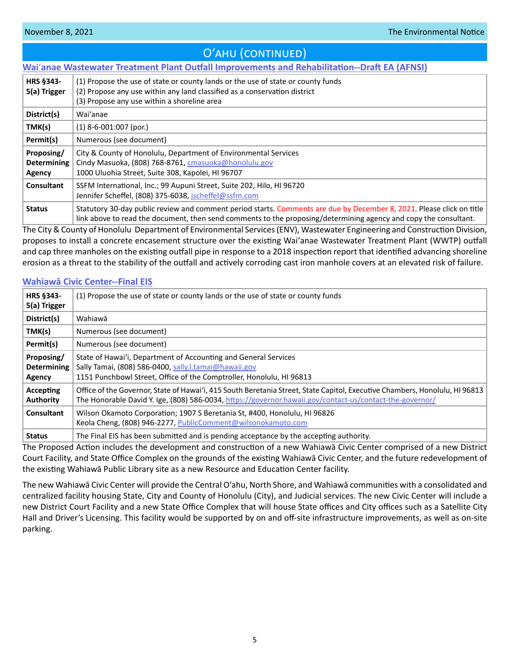# O'AHU (CONTINUED)

# <span id="page-4-0"></span>**Wai**ʻ**[anae Wastewater Treatment Plant Outfall Improvements and Rehabilitation--Draft EA \(AFNSI\)](http://oeqc2.doh.hawaii.gov/Doc_Library/2021-11-08-OA-DEA-Waianae-Wastewater-Treatment-Plant-Outfall-Improvements.pdf)**

| <b>HRS §343-</b><br>5(a) Trigger           | (1) Propose the use of state or county lands or the use of state or county funds<br>(2) Propose any use within any land classified as a conservation district<br>(3) Propose any use within a shoreline area                              |
|--------------------------------------------|-------------------------------------------------------------------------------------------------------------------------------------------------------------------------------------------------------------------------------------------|
| District(s)                                | Wai'anae                                                                                                                                                                                                                                  |
| TMK(s)                                     | $(1)$ 8-6-001:007 (por.)                                                                                                                                                                                                                  |
| Permit(s)                                  | Numerous (see document)                                                                                                                                                                                                                   |
| Proposing/<br><b>Determining</b><br>Agency | City & County of Honolulu, Department of Environmental Services<br>Cindy Masuoka, (808) 768-8761, cmasuoka@honolulu.gov<br>1000 Uluohia Street, Suite 308, Kapolei, HI 96707                                                              |
| Consultant                                 | SSFM International, Inc.; 99 Aupuni Street, Suite 202, Hilo, HI 96720<br>Jennifer Scheffel, (808) 375-6038, jscheffel@ssfm.com                                                                                                            |
| <b>Status</b>                              | Statutory 30-day public review and comment period starts. Comments are due by December 8, 2021. Please click on title<br>link above to read the document, then send comments to the proposing/determining agency and copy the consultant. |

The City & County of Honolulu Department of Environmental Services (ENV), Wastewater Engineering and Construction Division, proposes to install a concrete encasement structure over the existing Waiʻanae Wastewater Treatment Plant (WWTP) outfall and cap three manholes on the existing outfall pipe in response to a 2018 inspection report that identified advancing shoreline erosion as a threat to the stability of the outfall and actively corroding cast iron manhole covers at an elevated risk of failure.

# **[Wahiawā Civic Center--Final EIS](http://oeqc2.doh.hawaii.gov/Doc_Library/2021-11-08-OA-FEIS-Wahiawa-Civic-Center.pdf)**

| <b>HRS §343-</b><br>5(a) Trigger           | (1) Propose the use of state or county lands or the use of state or county funds                                                                                                                                                        |
|--------------------------------------------|-----------------------------------------------------------------------------------------------------------------------------------------------------------------------------------------------------------------------------------------|
| District(s)                                | Wahiawā                                                                                                                                                                                                                                 |
| TMK(s)                                     | Numerous (see document)                                                                                                                                                                                                                 |
| Permit(s)                                  | Numerous (see document)                                                                                                                                                                                                                 |
| Proposing/<br><b>Determining</b><br>Agency | State of Hawai'i, Department of Accounting and General Services<br>Sally Tamai, (808) 586-0400, sally.l.tamai@hawaii.gov<br>1151 Punchbowl Street, Office of the Comptroller, Honolulu, HI 96813                                        |
| Accepting<br><b>Authority</b>              | Office of the Governor, State of Hawai'i, 415 South Beretania Street, State Capitol, Executive Chambers, Honolulu, HI 96813<br>The Honorable David Y. Ige, (808) 586-0034, https://governor.hawaii.gov/contact-us/contact-the-governor/ |
| Consultant                                 | Wilson Okamoto Corporation; 1907 S Beretania St, #400, Honolulu, HI 96826<br>Keola Cheng, (808) 946-2277, PublicComment@wilsonokamoto.com                                                                                               |
| <b>Status</b>                              | The Final EIS has been submitted and is pending acceptance by the accepting authority.                                                                                                                                                  |

The Proposed Action includes the development and construction of a new Wahiawā Civic Center comprised of a new District Court Facility, and State Office Complex on the grounds of the existing Wahiawā Civic Center, and the future redevelopment of the existing Wahiawā Public Library site as a new Resource and Education Center facility.

The new Wahiawā Civic Center will provide the Central O'ahu, North Shore, and Wahiawā communities with a consolidated and centralized facility housing State, City and County of Honolulu (City), and Judicial services. The new Civic Center will include a new District Court Facility and a new State Office Complex that will house State offices and City offices such as a Satellite City Hall and Driver's Licensing. This facility would be supported by on and off-site infrastructure improvements, as well as on-site parking.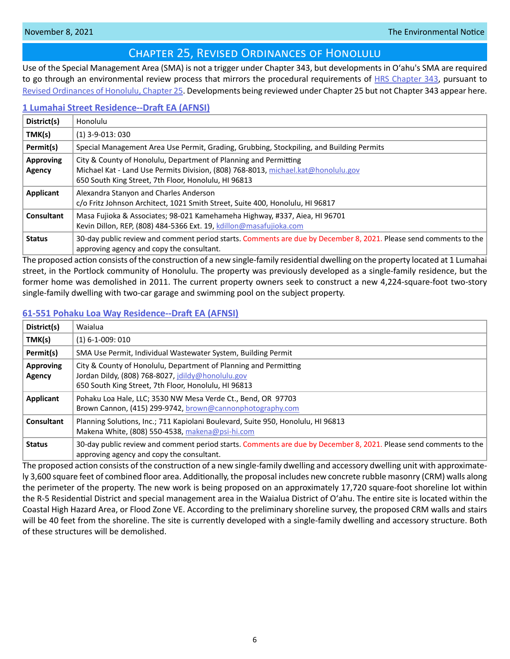# Chapter 25, Revised Ordinances of Honolulu

<span id="page-5-0"></span>Use of the Special Management Area (SMA) is not a trigger under Chapter 343, but developments in Oʻahu's SMA are required to go through an environmental review process that mirrors the procedural requirements of [HRS Chapter 343](https://www.capitol.hawaii.gov/hrscurrent/Vol06_Ch0321-0344/HRS0343/HRS_0343-.htm), pursuant to [Revised Ordinances of Honolulu, Chapter 25.](https://www.honolulu.gov/rep/site/ocs/roh/ROH_Chapter_25_article_1_12.pdf) Developments being reviewed under Chapter 25 but not Chapter 343 appear here.

# **[1 Lumahai Street Residence--Draft EA \(AFNSI\)](http://oeqc2.doh.hawaii.gov/Other_TEN_Publications/2021-11-08-OA-Chapter-25-DEA-1-Lumahai-Street-Residence.pdf)**

| District(s)                | Honolulu                                                                                                                                                                                                      |
|----------------------------|---------------------------------------------------------------------------------------------------------------------------------------------------------------------------------------------------------------|
| TMK(s)                     | $(1)$ 3-9-013: 030                                                                                                                                                                                            |
| Permit(s)                  | Special Management Area Use Permit, Grading, Grubbing, Stockpiling, and Building Permits                                                                                                                      |
| <b>Approving</b><br>Agency | City & County of Honolulu, Department of Planning and Permitting<br>Michael Kat - Land Use Permits Division, (808) 768-8013, michael.kat@honolulu.gov<br>650 South King Street, 7th Floor, Honolulu, HI 96813 |
| Applicant                  | Alexandra Stanyon and Charles Anderson<br>c/o Fritz Johnson Architect, 1021 Smith Street, Suite 400, Honolulu, HI 96817                                                                                       |
| Consultant                 | Masa Fujioka & Associates; 98-021 Kamehameha Highway, #337, Aiea, HI 96701<br>Kevin Dillon, REP, (808) 484-5366 Ext. 19, kdillon@masafujioka.com                                                              |
| <b>Status</b>              | 30-day public review and comment period starts. Comments are due by December 8, 2021. Please send comments to the<br>approving agency and copy the consultant.                                                |

The proposed action consists of the construction of a new single-family residential dwelling on the property located at 1 Lumahai street, in the Portlock community of Honolulu. The property was previously developed as a single-family residence, but the former home was demolished in 2011. The current property owners seek to construct a new 4,224-square-foot two-story single-family dwelling with two-car garage and swimming pool on the subject property.

# **[61-551 Pohaku Loa Way Residence--Draft EA \(AFNSI\)](http://oeqc2.doh.hawaii.gov/Other_TEN_Publications/2021-11-08-OA-Chapter-25-DEA-61-551-Pohaku-Loa-Way-Residence.pdf)**

| District(s)                | Waialua                                                                                                                                                                       |
|----------------------------|-------------------------------------------------------------------------------------------------------------------------------------------------------------------------------|
| TMK(s)                     | $(1)$ 6-1-009: 010                                                                                                                                                            |
| Permit(s)                  | SMA Use Permit, Individual Wastewater System, Building Permit                                                                                                                 |
| <b>Approving</b><br>Agency | City & County of Honolulu, Department of Planning and Permitting<br>Jordan Dildy, (808) 768-8027, jdildy@honolulu.gov<br>650 South King Street, 7th Floor, Honolulu, HI 96813 |
| Applicant                  | Pohaku Loa Hale, LLC; 3530 NW Mesa Verde Ct., Bend, OR 97703<br>Brown Cannon, (415) 299-9742, brown@cannonphotography.com                                                     |
| <b>Consultant</b>          | Planning Solutions, Inc.; 711 Kapiolani Boulevard, Suite 950, Honolulu, HI 96813<br>Makena White, (808) 550-4538, makena@psi-hi.com                                           |
| <b>Status</b>              | 30-day public review and comment period starts. Comments are due by December 8, 2021. Please send comments to the<br>approving agency and copy the consultant.                |

The proposed action consists of the construction of a new single-family dwelling and accessory dwelling unit with approximately 3,600 square feet of combined floor area. Additionally, the proposal includes new concrete rubble masonry (CRM) walls along the perimeter of the property. The new work is being proposed on an approximately 17,720 square-foot shoreline lot within the R-5 Residential District and special management area in the Waialua District of Oʻahu. The entire site is located within the Coastal High Hazard Area, or Flood Zone VE. According to the preliminary shoreline survey, the proposed CRM walls and stairs will be 40 feet from the shoreline. The site is currently developed with a single-family dwelling and accessory structure. Both of these structures will be demolished.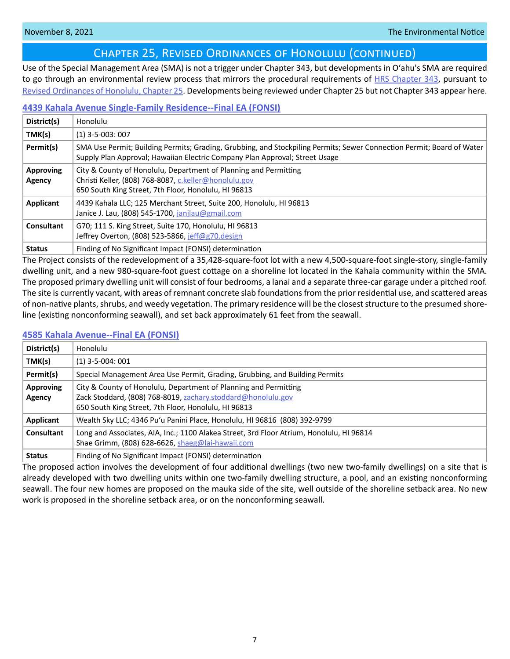# Chapter 25, Revised Ordinances of Honolulu (continued)

<span id="page-6-0"></span>Use of the Special Management Area (SMA) is not a trigger under Chapter 343, but developments in Oʻahu's SMA are required to go through an environmental review process that mirrors the procedural requirements of [HRS Chapter 343](https://www.capitol.hawaii.gov/hrscurrent/Vol06_Ch0321-0344/HRS0343/HRS_0343-.htm), pursuant to [Revised Ordinances of Honolulu, Chapter 25.](https://www.honolulu.gov/rep/site/ocs/roh/ROH_Chapter_25_article_1_12.pdf) Developments being reviewed under Chapter 25 but not Chapter 343 appear here.

# **[4439 Kahala Avenue Single-Family Residence--Final EA \(FONSI\)](http://oeqc2.doh.hawaii.gov/Other_TEN_Publications/2021-11-08-OA-Chapter-25-FEA-4439-Kahala-Avenue-Single-Family-Residence.pdf)**

| District(s)                | Honolulu                                                                                                                                                                                               |
|----------------------------|--------------------------------------------------------------------------------------------------------------------------------------------------------------------------------------------------------|
| TMK(s)                     | $(1)$ 3-5-003: 007                                                                                                                                                                                     |
| Permit(s)                  | SMA Use Permit; Building Permits; Grading, Grubbing, and Stockpiling Permits; Sewer Connection Permit; Board of Water  <br>Supply Plan Approval; Hawaiian Electric Company Plan Approval; Street Usage |
| <b>Approving</b><br>Agency | City & County of Honolulu, Department of Planning and Permitting<br>Christi Keller, (808) 768-8087, c.keller@honolulu.gov<br>650 South King Street, 7th Floor, Honolulu, HI 96813                      |
| Applicant                  | 4439 Kahala LLC; 125 Merchant Street, Suite 200, Honolulu, HI 96813<br>Janice J. Lau, (808) 545-1700, janjlau@gmail.com                                                                                |
| Consultant                 | G70; 111 S. King Street, Suite 170, Honolulu, HI 96813<br>Jeffrey Overton, (808) 523-5866, jeff@g70.design                                                                                             |
| <b>Status</b>              | Finding of No Significant Impact (FONSI) determination                                                                                                                                                 |

The Project consists of the redevelopment of a 35,428-square-foot lot with a new 4,500-square-foot single-story, single-family dwelling unit, and a new 980-square-foot guest cottage on a shoreline lot located in the Kahala community within the SMA. The proposed primary dwelling unit will consist of four bedrooms, a lanai and a separate three-car garage under a pitched roof. The site is currently vacant, with areas of remnant concrete slab foundations from the prior residential use, and scattered areas of non-native plants, shrubs, and weedy vegetation. The primary residence will be the closest structure to the presumed shoreline (existing nonconforming seawall), and set back approximately 61 feet from the seawall.

### **[4585 Kahala Avenue--Final EA \(FONSI\)](http://oeqc2.doh.hawaii.gov/Other_TEN_Publications/2021-11-08-OA-Chapter-25-FEA-4585-Kahala-Avenue.pdf)**

| District(s)         | Honolulu                                                                                                                                                                                 |
|---------------------|------------------------------------------------------------------------------------------------------------------------------------------------------------------------------------------|
| TMK(s)              | $(1)$ 3-5-004: 001                                                                                                                                                                       |
| Permit(s)           | Special Management Area Use Permit, Grading, Grubbing, and Building Permits                                                                                                              |
| Approving<br>Agency | City & County of Honolulu, Department of Planning and Permitting<br>Zack Stoddard, (808) 768-8019, zachary.stoddard@honolulu.gov<br>650 South King Street, 7th Floor, Honolulu, HI 96813 |
| Applicant           | Wealth Sky LLC; 4346 Pu'u Panini Place, Honolulu, HI 96816 (808) 392-9799                                                                                                                |
| Consultant          | Long and Associates, AIA, Inc.; 1100 Alakea Street, 3rd Floor Atrium, Honolulu, HI 96814<br>Shae Grimm, (808) 628-6626, shaeg@lai-hawaii.com                                             |
| <b>Status</b>       | Finding of No Significant Impact (FONSI) determination                                                                                                                                   |

The proposed action involves the development of four additional dwellings (two new two-family dwellings) on a site that is already developed with two dwelling units within one two-family dwelling structure, a pool, and an existing nonconforming seawall. The four new homes are proposed on the mauka side of the site, well outside of the shoreline setback area. No new work is proposed in the shoreline setback area, or on the nonconforming seawall.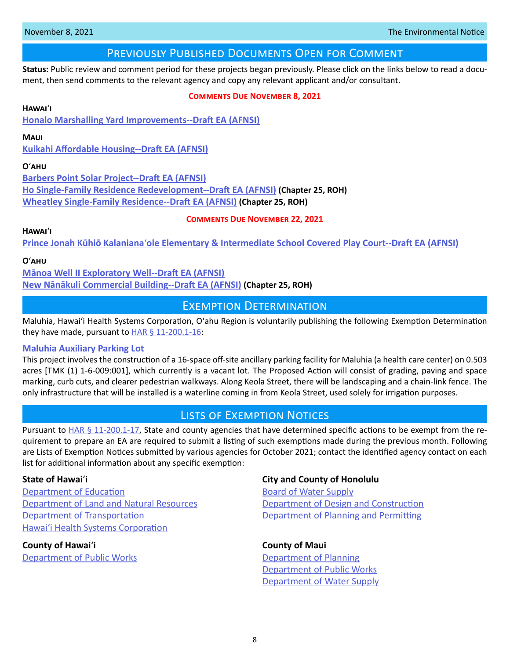# Previously Published Documents Open for Comment

<span id="page-7-0"></span>**Status:** Public review and comment period for these projects began previously. Please click on the links below to read a document, then send comments to the relevant agency and copy any relevant applicant and/or consultant.

### **Comments Due November 8, 2021**

### **Hawai**ʻ**i**

**[Honalo Marshalling Yard Improvements--Draft EA \(AFNSI\)](http://oeqc2.doh.hawaii.gov/Doc_Library/2021-10-08-HA-DEA-Honalo-Marshalling-Yard-Improvements.pdf)**

### **Maui**

**[Kuikahi Affordable Housing--Draft EA \(AFNSI\)](http://oeqc2.doh.hawaii.gov/Doc_Library/2021-10-08-MA-DEA-Kuikahi-Affordable-Housing-Project.pdf)**

### **O**ʻ**ahu**

**[Barbers Point Solar Project--Draft EA \(AFNSI\)](http://oeqc2.doh.hawaii.gov/Doc_Library/2021-10-08-OA-DEA-Barbers-Point-Solar-Project.pdf) [Ho Single-Family Residence Redevelopment--Draft EA \(AFNSI\)](http://oeqc2.doh.hawaii.gov/Other_TEN_Publications/2021-10-08-OA-Chapter-25-DEA-Ho-Single-Family-Residence-Redevelopment.pdf) (Chapter 25, ROH) [Wheatley Single-Family Residence--Draft EA \(AFNSI\)](http://oeqc2.doh.hawaii.gov/Other_TEN_Publications/2021-10-08-OA-Chapter-25-DEA-Wheatley-Single-Family-Residence.pdf) (Chapter 25, ROH)**

### **Comments Due November 22, 2021**

**Hawai**ʻ**i**

**Prince Jonah Kūhiō Kalaniana**ʻ**[ole Elementary & Intermediate School Covered Play Court--Draft EA \(AFNSI\)](http://oeqc2.doh.hawaii.gov/Doc_Library/2021-10-23-HA-DEA-Kalanianaole-Ele-and-Int-School-Covered-Play-Court.pdf)**

### **O**ʻ**ahu**

**[Mānoa Well II Exploratory Well--Draft EA \(AFNSI\)](http://oeqc2.doh.hawaii.gov/Doc_Library/2021-10-23-OA-DEA-Manoa-Well-II-Exploratory-Well.pdf) New Nān[ākuli Commercial Building--Draft EA \(AFNSI\)](http://oeqc2.doh.hawaii.gov/Other_TEN_Publications/2021-10-23-OA-Chapter-25-DEA-New-Nanakuli-Commercial-Building.pdf) (Chapter 25, ROH)**

# Exemption Determination

Maluhia, Hawaiʻi Health Systems Corporation, Oʻahu Region is voluntarily publishing the following Exemption Determination they have made, pursuant to  $HAR \S 11-200.1-16$ :

### **[Maluhia Auxiliary Parking Lot](http://oeqc2.doh.hawaii.gov/Other_TEN_Publications/2021-11-08-OA-Exemption-HHSC-Maluhia-Auxiliary-Parking-Lot.pdf)**

This project involves the construction of a 16-space off-site ancillary parking facility for Maluhia (a health care center) on 0.503 acres [TMK (1) 1-6-009:001], which currently is a vacant lot. The Proposed Action will consist of grading, paving and space marking, curb cuts, and clearer pedestrian walkways. Along Keola Street, there will be landscaping and a chain-link fence. The only infrastructure that will be installed is a waterline coming in from Keola Street, used solely for irrigation purposes.

# Lists of Exemption Notices

Pursuant to [HAR § 11-200.1-17](https://health.hawaii.gov/opppd/files/2019/08/11-200.1.pdf), State and county agencies that have determined specific actions to be exempt from the requirement to prepare an EA are required to submit a listing of such exemptions made during the previous month. Following are Lists of Exemption Notices submitted by various agencies for October 2021; contact the identified agency contact on each list for additional information about any specific exemption:

**[Department of Education](http://oeqc2.doh.hawaii.gov/List_Ex_Notice/2021-11-08-SOH-DOE-List-of-Exemptions-Oct-2021.pdf) Community Community [Board of Water Supply](http://oeqc2.doh.hawaii.gov/List_Ex_Notice/2021-11-08-CCH-BWS-List-of-Exemptions-Oct-2021.pdf) [Department of Land and Natural Resources](http://oeqc2.doh.hawaii.gov/List_Ex_Notice/2021-11-08-SOH-DLNR-List-of-Exemptions-Oct-2021.pdf) [Department of Design and Construction](http://oeqc2.doh.hawaii.gov/List_Ex_Notice/2021-11-08-CCH-DDC-List-of-Exemptions-Oct-2021.pdf)** [Department of Transportation](http://oeqc2.doh.hawaii.gov/List_Ex_Notice/2021-11-08-SOH-DOT-List-of-Exemptions-Oct-2021.pdf) [Department of Planning and Permitting](http://oeqc2.doh.hawaii.gov/List_Ex_Notice/2021-11-08-CCH-DPP-List-of-Exemptions-Oct-2021.pdf) Hawai[ʻi Health Systems Corporation](http://oeqc2.doh.hawaii.gov/List_Ex_Notice/2021-11-08-SOH-HHSC-List-of-Exemptions-Oct-2021.pdf)

**County of Hawai**ʻ**i County of Maui** [Department of Public Works](http://oeqc2.doh.hawaii.gov/List_Ex_Notice/2021-11-08-COH-DPW-List-of-Exemptions-Oct-2021.pdf) **[Department of Planning](http://oeqc2.doh.hawaii.gov/List_Ex_Notice/2021-11-08-COM-Planning-Dept-List-of-Exemptions-Oct-2021.pdf)** 

# **State of Hawai**ʻ**i City and County of Honolulu**

 [Department of Public Works](http://oeqc2.doh.hawaii.gov/List_Ex_Notice/2021-11-08-COM-DPW-List-of-Exemptions-Oct-2021.pdf) [Department of Water Supply](http://oeqc2.doh.hawaii.gov/List_Ex_Notice/2021-11-08-COM-DWS-List-of-Exemptions-Oct-2021.pdf)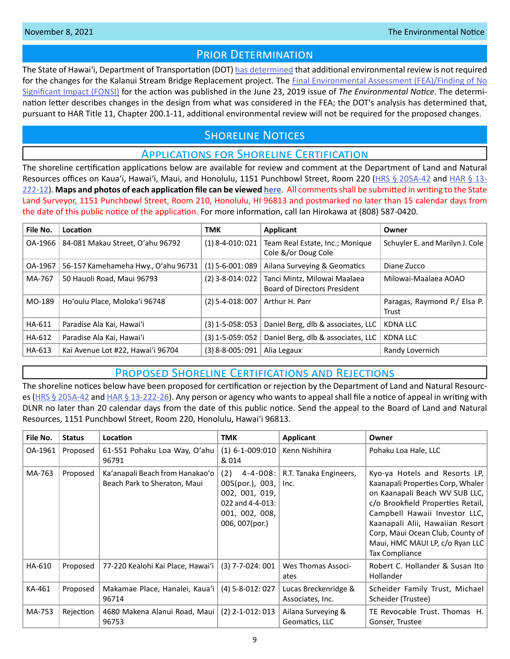# PRIOR DETERMINATION

<span id="page-8-0"></span>The State of Hawaiʻi, Department of Transportation (DOT) [has determined](http://oeqc2.doh.hawaii.gov/Other_TEN_Publications/2021-11-08-OA-Prior-Determination-DOT-Kaluanui-Stream-Bridge.pdf) that additional environmental review is not required for the changes for the Kalanui Stream Bridge Replacement project. The Final Environmental Assessment (FEA)/Finding of No [Significant Impact \(FONSI\)](http://oeqc2.doh.hawaii.gov/EA_EIS_Library/2019-06-23-OA-FEA-Kaluanui-Stream-Bridge-Replacement.pdf) for the action was published in the June 23, 2019 issue of *The Environmental Notice*. The determination letter describes changes in the design from what was considered in the FEA; the DOT's analysis has determined that, pursuant to HAR Title 11, Chapter 200.1-11, additional environmental review will not be required for the proposed changes.

# **SHORELINE NOTICES**

# Applications for Shoreline Certification

The shoreline certification applications below are available for review and comment at the Department of Land and Natural Resources offices on Kaua'i, Hawai'i, Maui, and Honolulu, 1151 Punchbowl Street, Room 220 ([HRS § 205A-42](https://www.capitol.hawaii.gov/hrscurrent/Vol04_Ch0201-0257/HRS0205A/HRS_0205A-0042.htm) and [HAR § 13-](https://dlnr.hawaii.gov/ld/files/2013/07/Ch13-222-Amend-Compil-Stand-Rev1.pdf) [222-12](https://dlnr.hawaii.gov/ld/files/2013/07/Ch13-222-Amend-Compil-Stand-Rev1.pdf)). **Maps and photos of each application file can be viewed [here](https://ags.hawaii.gov/survey/shoreline/#apps)**. All comments shall be submitted in writing to the State Land Surveyor, 1151 Punchbowl Street, Room 210, Honolulu, HI 96813 and postmarked no later than 15 calendar days from the date of this public notice of the application. For more information, call Ian Hirokawa at (808) 587-0420.

| File No. | <b>Location</b>                     | <b>TMK</b>         | Applicant                                                           | Owner                                 |
|----------|-------------------------------------|--------------------|---------------------------------------------------------------------|---------------------------------------|
| OA-1966  | 84-081 Makau Street, O'ahu 96792    | $(1)$ 8-4-010: 021 | Team Real Estate, Inc.; Monique<br>Cole &/or Doug Cole              | Schuyler E. and Marilyn J. Cole       |
| OA-1967  | 56-157 Kamehameha Hwy., O'ahu 96731 | $(1)$ 5-6-001: 089 | Ailana Surveying & Geomatics                                        | Diane Zucco                           |
| MA-767   | 50 Hauoli Road, Maui 96793          | $(2)$ 3-8-014: 022 | Tanci Mintz, Milowai Maalaea<br><b>Board of Directors President</b> | Milowai-Maalaea AOAO                  |
| MO-189   | Ho'oulu Place, Moloka'i 96748       | $(2)$ 5-4-018: 007 | Arthur H. Parr                                                      | Paragas, Raymond P./ Elsa P.<br>Trust |
| HA-611   | Paradise Ala Kai, Hawai'i           | $(3)$ 1-5-058: 053 | Daniel Berg, dlb & associates, LLC                                  | <b>KDNA LLC</b>                       |
| HA-612   | Paradise Ala Kai, Hawai'i           | $(3)$ 1-5-059: 052 | Daniel Berg, dlb & associates, LLC                                  | KDNA LLC                              |
| HA-613   | Kai Avenue Lot #22, Hawai'i 96704   | $(3)$ 8-8-005: 091 | Alia Legaux                                                         | Randy Lovernich                       |

# Proposed Shoreline Certifications and Rejections

The shoreline notices below have been proposed for certification or rejection by the Department of Land and Natural Resources [\(HRS § 205A-42](http://HRS § 205A-42) and [HAR § 13-222-26\)](https://dlnr.hawaii.gov/ld/files/2013/07/Ch13-222-Amend-Compil-Stand-Rev1.pdf). Any person or agency who wants to appeal shall file a notice of appeal in writing with DLNR no later than 20 calendar days from the date of this public notice. Send the appeal to the Board of Land and Natural Resources, 1151 Punchbowl Street, Room 220, Honolulu, Hawai'i 96813.

| File No. | <b>Status</b> | Location                                                        | тмк                                                                                                                    | <b>Applicant</b>                         | Owner                                                                                                                                                                                                                                                                                                      |
|----------|---------------|-----------------------------------------------------------------|------------------------------------------------------------------------------------------------------------------------|------------------------------------------|------------------------------------------------------------------------------------------------------------------------------------------------------------------------------------------------------------------------------------------------------------------------------------------------------------|
| OA-1961  | Proposed      | 61-551 Pohaku Loa Way, O'ahu<br>96791                           | $(1) 6 - 1 - 009:010$<br>& 014                                                                                         | Kenn Nishihira                           | Pohaku Loa Hale, LLC                                                                                                                                                                                                                                                                                       |
| MA-763   | Proposed      | Ka'anapali Beach from Hanakao'o<br>Beach Park to Sheraton, Maui | (2)<br>$4 - 4 - 008$ :<br>$005(por.)$ , 003,<br>002, 001, 019,<br>022 and 4-4-013:<br>001, 002, 008,<br>006, 007(por.) | R.T. Tanaka Engineers,<br>Inc.           | Kyo-ya Hotels and Resorts LP,<br>Kaanapali Properties Corp, Whaler  <br>on Kaanapali Beach WV SUB LLC,<br>c/o Brookfield Properties Retail,<br>Campbell Hawaii Investor LLC,<br>Kaanapali Alii, Hawaiian Resort<br>Corp, Maui Ocean Club, County of<br>Maui, HMC MAUI LP, c/o Ryan LLC  <br>Tax Compliance |
| HA-610   | Proposed      | 77-220 Kealohi Kai Place, Hawai'i   (3) 7-7-024: 001            |                                                                                                                        | Wes Thomas Associ-<br>ates               | Robert C. Hollander & Susan Ito<br><b>Hollander</b>                                                                                                                                                                                                                                                        |
| KA-461   | Proposed      | Makamae Place, Hanalei, Kaua'i   (4) 5-8-012: 027<br>96714      |                                                                                                                        | Lucas Breckenridge &<br>Associates, Inc. | Scheider Family Trust, Michael<br>Scheider (Trustee)                                                                                                                                                                                                                                                       |
| MA-753   | Rejection     | 4680 Makena Alanui Road, Maui   (2) 2-1-012: 013<br>96753       |                                                                                                                        | Ailana Surveying &<br>Geomatics, LLC     | TE Revocable Trust. Thomas H.<br>Gonser, Trustee                                                                                                                                                                                                                                                           |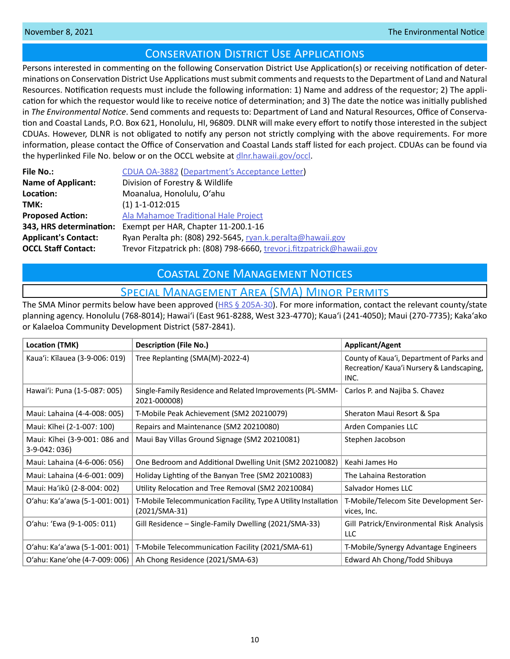# Conservation District Use Applications

<span id="page-9-0"></span>Persons interested in commenting on the following Conservation District Use Application(s) or receiving notification of determinations on Conservation District Use Applications must submit comments and requests to the Department of Land and Natural Resources. Notification requests must include the following information: 1) Name and address of the requestor; 2) The application for which the requestor would like to receive notice of determination; and 3) The date the notice was initially published in *The Environmental Notice*. Send comments and requests to: Department of Land and Natural Resources, Office of Conservation and Coastal Lands, P.O. Box 621, Honolulu, HI, 96809. DLNR will make every effort to notify those interested in the subject CDUAs. However, DLNR is not obligated to notify any person not strictly complying with the above requirements. For more information, please contact the Office of Conservation and Coastal Lands staff listed for each project. CDUAs can be found via the hyperlinked File No. below or on the OCCL website at [dlnr.hawaii.gov/occl.](http://dlnr.hawaii.gov/occl)

| <b>File No.:</b>            | CDUA OA-3882 (Department's Acceptance Letter)                          |
|-----------------------------|------------------------------------------------------------------------|
| <b>Name of Applicant:</b>   | Division of Forestry & Wildlife                                        |
| Location:                   | Moanalua, Honolulu, O'ahu                                              |
| TMK:                        | $(1)$ 1-1-012:015                                                      |
| <b>Proposed Action:</b>     | Ala Mahamoe Traditional Hale Project                                   |
| 343, HRS determination:     | Exempt per HAR, Chapter 11-200.1-16                                    |
| <b>Applicant's Contact:</b> | Ryan Peralta ph: (808) 292-5645, ryan.k.peralta@hawaii.gov             |
| <b>OCCL Staff Contact:</b>  | Trevor Fitzpatrick ph: (808) 798-6660, trevor.j.fitzpatrick@hawaii.gov |

# Coastal Zone Management Notices

# Special Management Area (SMA) Minor Permits

The SMA Minor permits below have been approved ([HRS § 205A-30](https://www.capitol.hawaii.gov/hrscurrent/Vol04_Ch0201-0257/HRS0205A/HRS_0205A-0030.htm)). For more information, contact the relevant county/state planning agency. Honolulu (768-8014); Hawaiʻi (East 961-8288, West 323-4770); Kauaʻi (241-4050); Maui (270-7735); Kakaʻako or Kalaeloa Community Development District (587-2841).

| Location (TMK)                                 | <b>Description (File No.)</b>                                                       | <b>Applicant/Agent</b>                                                                        |
|------------------------------------------------|-------------------------------------------------------------------------------------|-----------------------------------------------------------------------------------------------|
| Kaua'i: Kīlauea (3-9-006: 019)                 | Tree Replanting (SMA(M)-2022-4)                                                     | County of Kaua'i, Department of Parks and<br>Recreation/Kaua'i Nursery & Landscaping,<br>INC. |
| Hawai'i: Puna (1-5-087: 005)                   | Single-Family Residence and Related Improvements (PL-SMM-<br>2021-000008)           | Carlos P. and Najiba S. Chavez                                                                |
| Maui: Lahaina (4-4-008: 005)                   | T-Mobile Peak Achievement (SM2 20210079)                                            | Sheraton Maui Resort & Spa                                                                    |
| Maui: Kīhei (2-1-007: 100)                     | Repairs and Maintenance (SM2 20210080)                                              | Arden Companies LLC                                                                           |
| Maui: Kīhei (3-9-001: 086 and<br>3-9-042: 036) | Maui Bay Villas Ground Signage (SM2 20210081)                                       | Stephen Jacobson                                                                              |
| Maui: Lahaina (4-6-006: 056)                   | One Bedroom and Additional Dwelling Unit (SM2 20210082)                             | Keahi James Ho                                                                                |
| Maui: Lahaina (4-6-001: 009)                   | Holiday Lighting of the Banyan Tree (SM2 20210083)                                  | The Lahaina Restoration                                                                       |
| Maui: Ha'ikū (2-8-004: 002)                    | Utility Relocation and Tree Removal (SM2 20210084)                                  | Salvador Homes LLC                                                                            |
| O'ahu: Ka'a'awa (5-1-001: 001)                 | T-Mobile Telecommunication Facility, Type A Utility Installation<br>$(2021/SMA-31)$ | T-Mobile/Telecom Site Development Ser-<br>vices, Inc.                                         |
| O'ahu: 'Ewa (9-1-005: 011)                     | Gill Residence - Single-Family Dwelling (2021/SMA-33)                               | Gill Patrick/Environmental Risk Analysis<br>LLC                                               |
| O'ahu: Ka'a'awa (5-1-001: 001)                 | T-Mobile Telecommunication Facility (2021/SMA-61)                                   | T-Mobile/Synergy Advantage Engineers                                                          |
| O'ahu: Kane'ohe (4-7-009: 006)                 | Ah Chong Residence (2021/SMA-63)                                                    | Edward Ah Chong/Todd Shibuya                                                                  |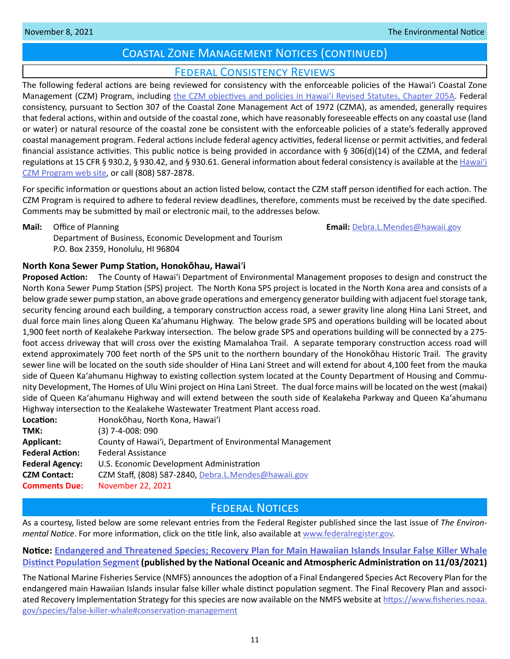# Coastal Zone Management Notices (continued)

# Federal Consistency Reviews

<span id="page-10-0"></span>The following federal actions are being reviewed for consistency with the enforceable policies of the Hawaiʻi Coastal Zone Management (CZM) Program, including [the CZM objectives and policies in Hawaiʻi Revised Statutes, Chapter 205A.](https://www.capitol.hawaii.gov/hrscurrent/Vol04_Ch0201-0257/HRS0205A/HRS_0205A-0002.htm) Federal consistency, pursuant to Section 307 of the Coastal Zone Management Act of 1972 (CZMA), as amended, generally requires that federal actions, within and outside of the coastal zone, which have reasonably foreseeable effects on any coastal use (land or water) or natural resource of the coastal zone be consistent with the enforceable policies of a state's federally approved coastal management program. Federal actions include federal agency activities, federal license or permit activities, and federal financial assistance activities. This public notice is being provided in accordance with § 306(d)(14) of the CZMA, and federal regulations at 15 CFR § 930.2, § 930.42, and § 930.61. General information about federal consistency is available at the [Hawai](http://planning.hawaii.gov/czm/federal-consistency/)ʻi [CZM Program web site,](http://planning.hawaii.gov/czm/federal-consistency/) or call (808) 587-2878.

For specific information or questions about an action listed below, contact the CZM staff person identified for each action. The CZM Program is required to adhere to federal review deadlines, therefore, comments must be received by the date specified. Comments may be submitted by mail or electronic mail, to the addresses below.

**Mail:** Office of Planning **Email:** [Debra.L.Mendes@hawaii.gov](mailto:Debra.L.Mendes%40hawaii.gov?subject=) Department of Business, Economic Development and Tourism P.O. Box 2359, Honolulu, HI 96804

# **North Kona Sewer Pump Station, Honok�hau, Hawai**ʻ**i**

**Proposed Action:** The County of Hawaiʻi Department of Environmental Management proposes to design and construct the North Kona Sewer Pump Station (SPS) project. The North Kona SPS project is located in the North Kona area and consists of a below grade sewer pump station, an above grade operations and emergency generator building with adjacent fuel storage tank, security fencing around each building, a temporary construction access road, a sewer gravity line along Hina Lani Street, and dual force main lines along Queen Kaʻahumanu Highway. The below grade SPS and operations building will be located about 1,900 feet north of Kealakehe Parkway intersection. The below grade SPS and operations building will be connected by a 275 foot access driveway that will cross over the existing Mamalahoa Trail. A separate temporary construction access road will extend approximately 700 feet north of the SPS unit to the northern boundary of the Honokōhau Historic Trail. The gravity sewer line will be located on the south side shoulder of Hina Lani Street and will extend for about 4,100 feet from the mauka side of Queen Kaʻahumanu Highway to existing collection system located at the County Department of Housing and Community Development, The Homes of Ulu Wini project on Hina Lani Street. The dual force mains will be located on the west (makai) side of Queen Kaʻahumanu Highway and will extend between the south side of Kealakeha Parkway and Queen Kaʻahumanu Highway intersection to the Kealakehe Wastewater Treatment Plant access road.

| Location:              | Honokōhau, North Kona, Hawai'i                            |  |
|------------------------|-----------------------------------------------------------|--|
| TMK:                   | $(3)$ 7-4-008: 090                                        |  |
| <b>Applicant:</b>      | County of Hawai'i, Department of Environmental Management |  |
| <b>Federal Action:</b> | <b>Federal Assistance</b>                                 |  |
| <b>Federal Agency:</b> | U.S. Economic Development Administration                  |  |
| <b>CZM Contact:</b>    | CZM Staff, (808) 587-2840, Debra.L.Mendes@hawaii.gov      |  |
| <b>Comments Due:</b>   | November 22, 2021                                         |  |
|                        |                                                           |  |

# **FEDERAL NOTICES**

As a courtesy, listed below are some relevant entries from the Federal Register published since the last issue of *The Environmental Notice*. For more information, click on the title link, also available at [www.federalregister.gov](http://www.federalregister.gov).

# **Notice: [Endangered and Threatened Species; Recovery Plan for Main Hawaiian Islands Insular False Killer Whale](https://www.federalregister.gov/documents/2021/11/03/2021-23899/endangered-and-threatened-species-recovery-plan-for-main-hawaiian-islands-insular-false-killer-whale)  [Distinct Population Segment](https://www.federalregister.gov/documents/2021/11/03/2021-23899/endangered-and-threatened-species-recovery-plan-for-main-hawaiian-islands-insular-false-killer-whale) (published by the National Oceanic and Atmospheric Administration on 11/03/2021)**

The National Marine Fisheries Service (NMFS) announces the adoption of a Final Endangered Species Act Recovery Plan for the endangered main Hawaiian Islands insular false killer whale distinct population segment. The Final Recovery Plan and associated Recovery Implementation Strategy for this species are now available on the NMFS website at [https://www.fisheries.noaa.](https://www.fisheries.noaa.gov/ species/ false-killer-whale#conservation-management) [gov/species/false-killer-whale#conservation-management](https://www.fisheries.noaa.gov/ species/ false-killer-whale#conservation-management)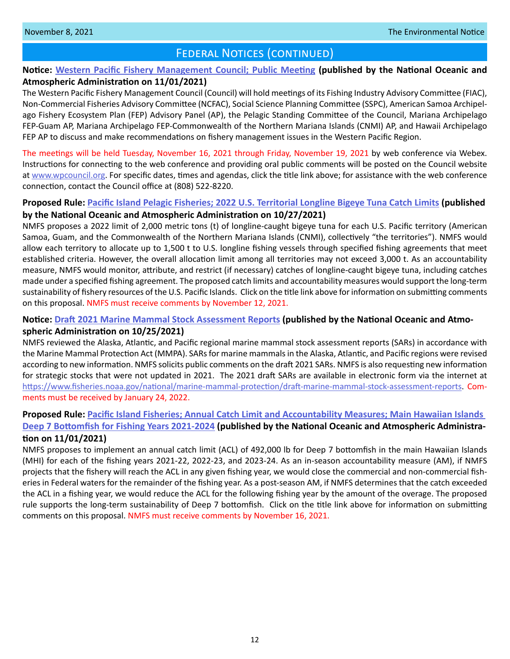# FEDERAL NOTICES (CONTINUED)

# **Notice: [Western Pacific Fishery Management Council; Public Meeting](https://www.federalregister.gov/documents/2021/11/01/2021-23755/western-pacific-fishery-management-council-public-meeting) (published by the National Oceanic and Atmospheric Administration on 11/01/2021)**

The Western Pacific Fishery Management Council (Council) will hold meetings of its Fishing Industry Advisory Committee (FIAC), Non-Commercial Fisheries Advisory Committee (NCFAC), Social Science Planning Committee (SSPC), American Samoa Archipelago Fishery Ecosystem Plan (FEP) Advisory Panel (AP), the Pelagic Standing Committee of the Council, Mariana Archipelago FEP-Guam AP, Mariana Archipelago FEP-Commonwealth of the Northern Mariana Islands (CNMI) AP, and Hawaii Archipelago FEP AP to discuss and make recommendations on fishery management issues in the Western Pacific Region.

The meetings will be held Tuesday, November 16, 2021 through Friday, November 19, 2021 by web conference via Webex. Instructions for connecting to the web conference and providing oral public comments will be posted on the Council website at [www.wpcouncil.org](http://www.wpcouncil.org). For specific dates, times and agendas, click the title link above; for assistance with the web conference connection, contact the Council office at (808) 522-8220.

# **Proposed Rule: [Pacific Island Pelagic Fisheries; 2022 U.S. Territorial Longline Bigeye Tuna Catch Limits](https://www.federalregister.gov/documents/2021/10/27/2021-23356/pacific-island-pelagic-fisheries-2022-us-territorial-longline-bigeye-tuna-catch-limits) (published by the National Oceanic and Atmospheric Administration on 10/27/2021)**

NMFS proposes a 2022 limit of 2,000 metric tons (t) of longline-caught bigeye tuna for each U.S. Pacific territory (American Samoa, Guam, and the Commonwealth of the Northern Mariana Islands (CNMI), collectively "the territories"). NMFS would allow each territory to allocate up to 1,500 t to U.S. longline fishing vessels through specified fishing agreements that meet established criteria. However, the overall allocation limit among all territories may not exceed 3,000 t. As an accountability measure, NMFS would monitor, attribute, and restrict (if necessary) catches of longline-caught bigeye tuna, including catches made under a specified fishing agreement. The proposed catch limits and accountability measures would support the long-term sustainability of fishery resources of the U.S. Pacific Islands. Click on the title link above for information on submitting comments on this proposal. NMFS must receive comments by November 12, 2021.

# **Notice: [Draft 2021 Marine Mammal Stock Assessment Reports](https://www.federalregister.gov/documents/2021/10/25/2021-23225/draft-2021-marine-mammal-stock-assessment-reports) (published by the National Oceanic and Atmospheric Administration on 10/25/2021)**

NMFS reviewed the Alaska, Atlantic, and Pacific regional marine mammal stock assessment reports (SARs) in accordance with the Marine Mammal Protection Act (MMPA). SARs for marine mammals in the Alaska, Atlantic, and Pacific regions were revised according to new information. NMFS solicits public comments on the draft 2021 SARs. NMFS is also requesting new information for strategic stocks that were not updated in 2021. The 2021 draft SARs are available in electronic form via the internet at [https://www.fisheries.noaa.gov/national/marine-mammal-protection/draft-marine-mammal-stock-assessment-reports.](https://www.fisheries.noaa.gov/ national/ marine-mammal-protection/ draft-marine-mammal-stock-assessment-reports) Comments must be received by January 24, 2022.

# **Proposed Rule: [Pacific Island Fisheries; Annual Catch Limit and Accountability Measures; Main Hawaiian Islands](https://www.federalregister.gov/documents/2021/11/01/2021-23674/pacific-island-fisheries-annual-catch-limit-and-accountability-measures-main-hawaiian-islands-deep-7)  [Deep 7 Bottomfish for Fishing Years 2021-2024](https://www.federalregister.gov/documents/2021/11/01/2021-23674/pacific-island-fisheries-annual-catch-limit-and-accountability-measures-main-hawaiian-islands-deep-7) (published by the National Oceanic and Atmospheric Administration on 11/01/2021)**

NMFS proposes to implement an annual catch limit (ACL) of 492,000 lb for Deep 7 bottomfish in the main Hawaiian Islands (MHI) for each of the fishing years 2021-22, 2022-23, and 2023-24. As an in-season accountability measure (AM), if NMFS projects that the fishery will reach the ACL in any given fishing year, we would close the commercial and non-commercial fisheries in Federal waters for the remainder of the fishing year. As a post-season AM, if NMFS determines that the catch exceeded the ACL in a fishing year, we would reduce the ACL for the following fishing year by the amount of the overage. The proposed rule supports the long-term sustainability of Deep 7 bottomfish. Click on the title link above for information on submitting comments on this proposal. NMFS must receive comments by November 16, 2021.